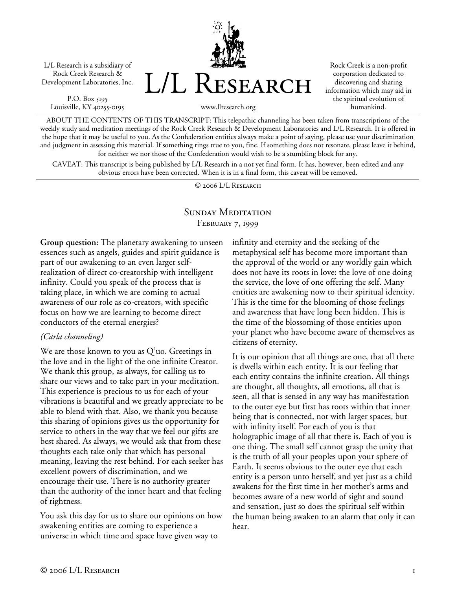L/L Research is a subsidiary of Rock Creek Research & Development Laboratories, Inc.

P.O. Box 5195 Louisville, KY 40255-0195 L/L Research

Rock Creek is a non-profit corporation dedicated to discovering and sharing information which may aid in the spiritual evolution of humankind.

ABOUT THE CONTENTS OF THIS TRANSCRIPT: This telepathic channeling has been taken from transcriptions of the

www.llresearch.org

weekly study and meditation meetings of the Rock Creek Research & Development Laboratories and L/L Research. It is offered in the hope that it may be useful to you. As the Confederation entities always make a point of saying, please use your discrimination and judgment in assessing this material. If something rings true to you, fine. If something does not resonate, please leave it behind, for neither we nor those of the Confederation would wish to be a stumbling block for any.

CAVEAT: This transcript is being published by L/L Research in a not yet final form. It has, however, been edited and any obvious errors have been corrected. When it is in a final form, this caveat will be removed.

© 2006 L/L Research

## SUNDAY MEDITATION February 7, 1999

**Group question:** The planetary awakening to unseen essences such as angels, guides and spirit guidance is part of our awakening to an even larger selfrealization of direct co-creatorship with intelligent infinity. Could you speak of the process that is taking place, in which we are coming to actual awareness of our role as co-creators, with specific focus on how we are learning to become direct conductors of the eternal energies?

### *(Carla channeling)*

We are those known to you as Q'uo. Greetings in the love and in the light of the one infinite Creator. We thank this group, as always, for calling us to share our views and to take part in your meditation. This experience is precious to us for each of your vibrations is beautiful and we greatly appreciate to be able to blend with that. Also, we thank you because this sharing of opinions gives us the opportunity for service to others in the way that we feel our gifts are best shared. As always, we would ask that from these thoughts each take only that which has personal meaning, leaving the rest behind. For each seeker has excellent powers of discrimination, and we encourage their use. There is no authority greater than the authority of the inner heart and that feeling of rightness.

You ask this day for us to share our opinions on how awakening entities are coming to experience a universe in which time and space have given way to

infinity and eternity and the seeking of the metaphysical self has become more important than the approval of the world or any worldly gain which does not have its roots in love: the love of one doing the service, the love of one offering the self. Many entities are awakening now to their spiritual identity. This is the time for the blooming of those feelings and awareness that have long been hidden. This is the time of the blossoming of those entities upon your planet who have become aware of themselves as citizens of eternity.

It is our opinion that all things are one, that all there is dwells within each entity. It is our feeling that each entity contains the infinite creation. All things are thought, all thoughts, all emotions, all that is seen, all that is sensed in any way has manifestation to the outer eye but first has roots within that inner being that is connected, not with larger spaces, but with infinity itself. For each of you is that holographic image of all that there is. Each of you is one thing. The small self cannot grasp the unity that is the truth of all your peoples upon your sphere of Earth. It seems obvious to the outer eye that each entity is a person unto herself, and yet just as a child awakens for the first time in her mother's arms and becomes aware of a new world of sight and sound and sensation, just so does the spiritual self within the human being awaken to an alarm that only it can hear.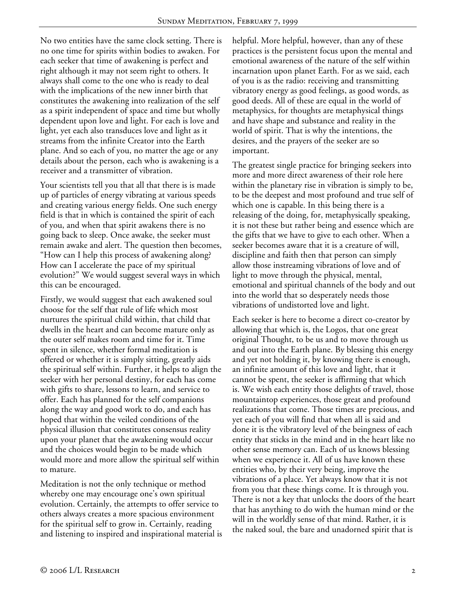No two entities have the same clock setting. There is no one time for spirits within bodies to awaken. For each seeker that time of awakening is perfect and right although it may not seem right to others. It always shall come to the one who is ready to deal with the implications of the new inner birth that constitutes the awakening into realization of the self as a spirit independent of space and time but wholly dependent upon love and light. For each is love and light, yet each also transduces love and light as it streams from the infinite Creator into the Earth plane. And so each of you, no matter the age or any details about the person, each who is awakening is a receiver and a transmitter of vibration.

Your scientists tell you that all that there is is made up of particles of energy vibrating at various speeds and creating various energy fields. One such energy field is that in which is contained the spirit of each of you, and when that spirit awakens there is no going back to sleep. Once awake, the seeker must remain awake and alert. The question then becomes, "How can I help this process of awakening along? How can I accelerate the pace of my spiritual evolution?" We would suggest several ways in which this can be encouraged.

Firstly, we would suggest that each awakened soul choose for the self that rule of life which most nurtures the spiritual child within, that child that dwells in the heart and can become mature only as the outer self makes room and time for it. Time spent in silence, whether formal meditation is offered or whether it is simply sitting, greatly aids the spiritual self within. Further, it helps to align the seeker with her personal destiny, for each has come with gifts to share, lessons to learn, and service to offer. Each has planned for the self companions along the way and good work to do, and each has hoped that within the veiled conditions of the physical illusion that constitutes consensus reality upon your planet that the awakening would occur and the choices would begin to be made which would more and more allow the spiritual self within to mature.

Meditation is not the only technique or method whereby one may encourage one's own spiritual evolution. Certainly, the attempts to offer service to others always creates a more spacious environment for the spiritual self to grow in. Certainly, reading and listening to inspired and inspirational material is helpful. More helpful, however, than any of these practices is the persistent focus upon the mental and emotional awareness of the nature of the self within incarnation upon planet Earth. For as we said, each of you is as the radio: receiving and transmitting vibratory energy as good feelings, as good words, as good deeds. All of these are equal in the world of metaphysics, for thoughts are metaphysical things and have shape and substance and reality in the world of spirit. That is why the intentions, the desires, and the prayers of the seeker are so important.

The greatest single practice for bringing seekers into more and more direct awareness of their role here within the planetary rise in vibration is simply to be, to be the deepest and most profound and true self of which one is capable. In this being there is a releasing of the doing, for, metaphysically speaking, it is not these but rather being and essence which are the gifts that we have to give to each other. When a seeker becomes aware that it is a creature of will, discipline and faith then that person can simply allow those instreaming vibrations of love and of light to move through the physical, mental, emotional and spiritual channels of the body and out into the world that so desperately needs those vibrations of undistorted love and light.

Each seeker is here to become a direct co-creator by allowing that which is, the Logos, that one great original Thought, to be us and to move through us and out into the Earth plane. By blessing this energy and yet not holding it, by knowing there is enough, an infinite amount of this love and light, that it cannot be spent, the seeker is affirming that which is. We wish each entity those delights of travel, those mountaintop experiences, those great and profound realizations that come. Those times are precious, and yet each of you will find that when all is said and done it is the vibratory level of the beingness of each entity that sticks in the mind and in the heart like no other sense memory can. Each of us knows blessing when we experience it. All of us have known these entities who, by their very being, improve the vibrations of a place. Yet always know that it is not from you that these things come. It is through you. There is not a key that unlocks the doors of the heart that has anything to do with the human mind or the will in the worldly sense of that mind. Rather, it is the naked soul, the bare and unadorned spirit that is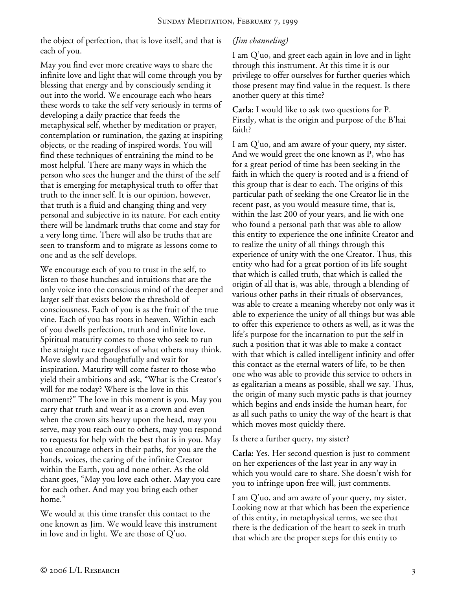the object of perfection, that is love itself, and that is each of you.

May you find ever more creative ways to share the infinite love and light that will come through you by blessing that energy and by consciously sending it out into the world. We encourage each who hears these words to take the self very seriously in terms of developing a daily practice that feeds the metaphysical self, whether by meditation or prayer, contemplation or rumination, the gazing at inspiring objects, or the reading of inspired words. You will find these techniques of entraining the mind to be most helpful. There are many ways in which the person who sees the hunger and the thirst of the self that is emerging for metaphysical truth to offer that truth to the inner self. It is our opinion, however, that truth is a fluid and changing thing and very personal and subjective in its nature. For each entity there will be landmark truths that come and stay for a very long time. There will also be truths that are seen to transform and to migrate as lessons come to one and as the self develops.

We encourage each of you to trust in the self, to listen to those hunches and intuitions that are the only voice into the conscious mind of the deeper and larger self that exists below the threshold of consciousness. Each of you is as the fruit of the true vine. Each of you has roots in heaven. Within each of you dwells perfection, truth and infinite love. Spiritual maturity comes to those who seek to run the straight race regardless of what others may think. Move slowly and thoughtfully and wait for inspiration. Maturity will come faster to those who yield their ambitions and ask, "What is the Creator's will for me today? Where is the love in this moment?" The love in this moment is you. May you carry that truth and wear it as a crown and even when the crown sits heavy upon the head, may you serve, may you reach out to others, may you respond to requests for help with the best that is in you. May you encourage others in their paths, for you are the hands, voices, the caring of the infinite Creator within the Earth, you and none other. As the old chant goes, "May you love each other. May you care for each other. And may you bring each other home."

We would at this time transfer this contact to the one known as Jim. We would leave this instrument in love and in light. We are those of Q'uo.

# *(Jim channeling)*

I am Q'uo, and greet each again in love and in light through this instrument. At this time it is our privilege to offer ourselves for further queries which those present may find value in the request. Is there another query at this time?

**Carla:** I would like to ask two questions for P. Firstly, what is the origin and purpose of the B'hai faith?

I am Q'uo, and am aware of your query, my sister. And we would greet the one known as P, who has for a great period of time has been seeking in the faith in which the query is rooted and is a friend of this group that is dear to each. The origins of this particular path of seeking the one Creator lie in the recent past, as you would measure time, that is, within the last 200 of your years, and lie with one who found a personal path that was able to allow this entity to experience the one infinite Creator and to realize the unity of all things through this experience of unity with the one Creator. Thus, this entity who had for a great portion of its life sought that which is called truth, that which is called the origin of all that is, was able, through a blending of various other paths in their rituals of observances, was able to create a meaning whereby not only was it able to experience the unity of all things but was able to offer this experience to others as well, as it was the life's purpose for the incarnation to put the self in such a position that it was able to make a contact with that which is called intelligent infinity and offer this contact as the eternal waters of life, to be then one who was able to provide this service to others in as egalitarian a means as possible, shall we say. Thus, the origin of many such mystic paths is that journey which begins and ends inside the human heart, for as all such paths to unity the way of the heart is that which moves most quickly there.

Is there a further query, my sister?

**Carla:** Yes. Her second question is just to comment on her experiences of the last year in any way in which you would care to share. She doesn't wish for you to infringe upon free will, just comments.

I am Q'uo, and am aware of your query, my sister. Looking now at that which has been the experience of this entity, in metaphysical terms, we see that there is the dedication of the heart to seek in truth that which are the proper steps for this entity to